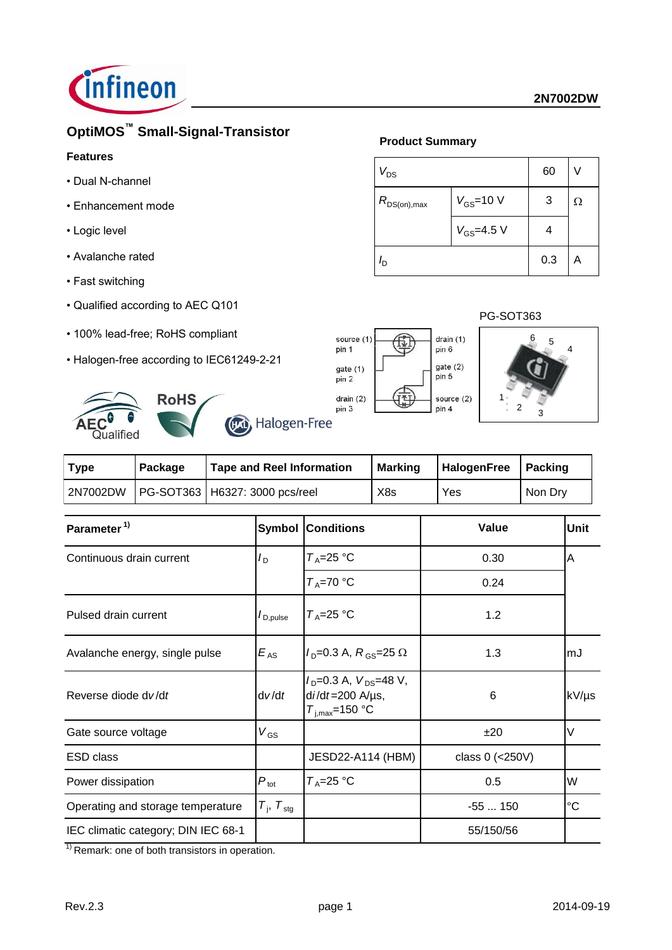

# **OptiMOS™ Small-Signal-Transistor**

## **Features**

- Dual N-channel
- Enhancement mode
- Logic level
- Avalanche rated
- Fast switching
- Qualified according to AEC Q101
- 100% lead-free; RoHS compliant
- Halogen-free according to IEC61249-2-21



| wuunivu     |         |                                  |                |                       |         |
|-------------|---------|----------------------------------|----------------|-----------------------|---------|
| <b>Type</b> | Package | <b>Tape and Reel Information</b> | <b>Marking</b> | HalogenFree   Packing |         |
| 2N7002DW    |         | PG-SOT363   H6327: 3000 pcs/reel | X8s            | Yes                   | Non Drv |

|                                 |                                                                                     | Value                    | <b>Unit</b>     |
|---------------------------------|-------------------------------------------------------------------------------------|--------------------------|-----------------|
| $I_{\text{D}}$                  | $T_A = 25$ °C                                                                       | 0.30                     | ΙA              |
|                                 | $T_A = 70 °C$                                                                       | 0.24                     |                 |
| $I_{\mathsf{D},\mathsf{pulse}}$ | $T_A = 25$ °C                                                                       | 1.2                      |                 |
| $E_{AS}$                        | $I_{\text{D}} = 0.3 \text{ A}, R_{\text{GS}} = 25 \Omega$                           | 1.3                      | lmJ             |
| dv/dt                           | $I_D = 0.3$ A, $V_{DS} = 48$ V,<br>$di/dt = 200$ A/ $\mu$ s,<br>$T_{i,max}$ =150 °C | 6                        | kV/µs           |
| $V_{GS}$                        |                                                                                     | ±20                      | V               |
|                                 | JESD22-A114 (HBM)                                                                   | class $0$ (<250V)        |                 |
| $P_{\rm tot}$                   | $T_A = 25$ °C                                                                       | 0.5                      | W               |
| $T_{\rm j}$ , $T_{\rm stg}$     |                                                                                     | $-55150$                 | $\rm ^{\circ}C$ |
|                                 |                                                                                     | 55/150/56                |                 |
|                                 |                                                                                     | <b>Symbol Conditions</b> |                 |

 $<sup>1</sup>$  Remark: one of both transistors in operation.</sup>

## **Product Summary**

| $V_{DS}$         | 60               |   |  |
|------------------|------------------|---|--|
| $R_{DS(on),max}$ | 3                | Ω |  |
|                  | $V_{GS} = 4.5 V$ |   |  |
| Iъ               | 0.3              | А |  |

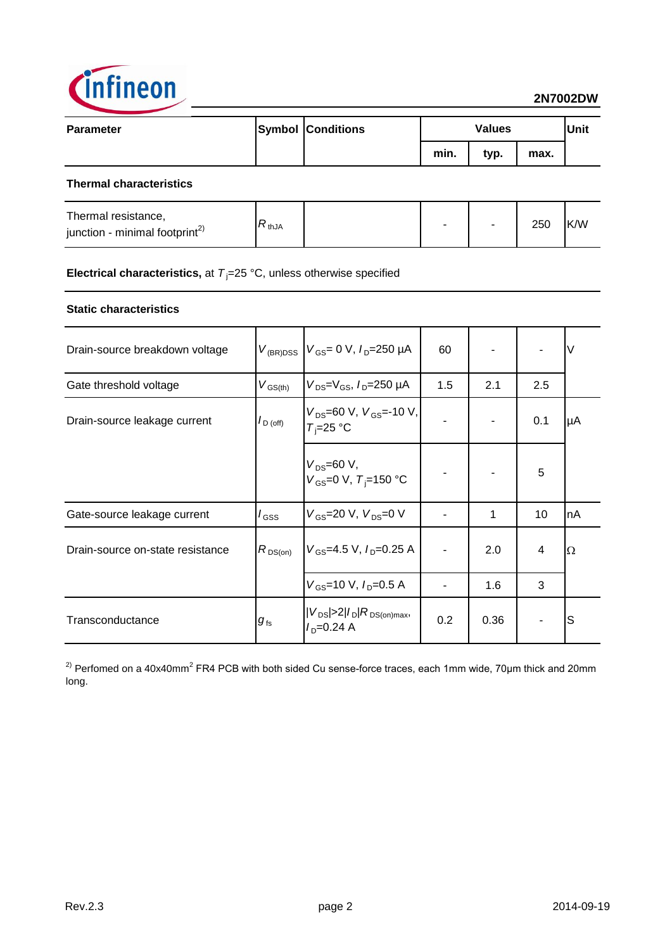

| <b>Parameter</b>               |  | <b>Symbol Conditions</b> | <b>Values</b> |      |      | <b>Unit</b> |
|--------------------------------|--|--------------------------|---------------|------|------|-------------|
|                                |  |                          | min.          | typ. | max. |             |
| <b>Thermal characteristics</b> |  |                          |               |      |      |             |

| Thermal resistance,<br>junction - minimal footprint <sup>2)</sup> | ้`thJA |  | - |  | 250 | K/W |
|-------------------------------------------------------------------|--------|--|---|--|-----|-----|
|-------------------------------------------------------------------|--------|--|---|--|-----|-----|

**Electrical characteristics,** at  $T_j = 25 \text{ °C}$ , unless otherwise specified

## **Static characteristics**

| Drain-source breakdown voltage   |                                    | $V_{(BR)DSS}$ $V_{GS} = 0$ V, $I_D = 250$ µA                        | 60  |      |     | V  |
|----------------------------------|------------------------------------|---------------------------------------------------------------------|-----|------|-----|----|
| Gate threshold voltage           | $V_{\text{GS(th)}}$                | $V_{DS} = V_{GS}$ , $I_{D} = 250 \mu A$                             | 1.5 | 2.1  | 2.5 |    |
| Drain-source leakage current     | $I_{\text{D (off)}}$               | $V_{DS}$ =60 V, $V_{GS}$ =-10 V,<br>$T_i = 25$ °C                   |     |      | 0.1 | μA |
|                                  |                                    | $V_{DS} = 60 V,$<br>$V_{GS}$ =0 V, $T_i$ =150 °C                    |     |      | 5   |    |
| Gate-source leakage current      | $I_{\rm GSS}$                      | $V_{GS}$ =20 V, $V_{DS}$ =0 V                                       |     | 1    | 10  | nA |
| Drain-source on-state resistance | $R_{DS(on)}$                       | $V_{GS}$ =4.5 V, $I_{D}$ =0.25 A                                    |     | 2.0  | 4   | Ω  |
|                                  |                                    | $V_{\rm GS}$ =10 V, $I_{\rm D}$ =0.5 A                              |     | 1.6  | 3   |    |
| Transconductance                 | $g_{\scriptscriptstyle \text{fs}}$ | $ V_{DS}  > 2 I_D R_{DS(on)max}$<br>$I_{\text{D}} = 0.24 \text{ A}$ | 0.2 | 0.36 |     | S  |

<sup>2)</sup> Perfomed on a 40x40mm<sup>2</sup> FR4 PCB with both sided Cu sense-force traces, each 1mm wide, 70µm thick and 20mm long.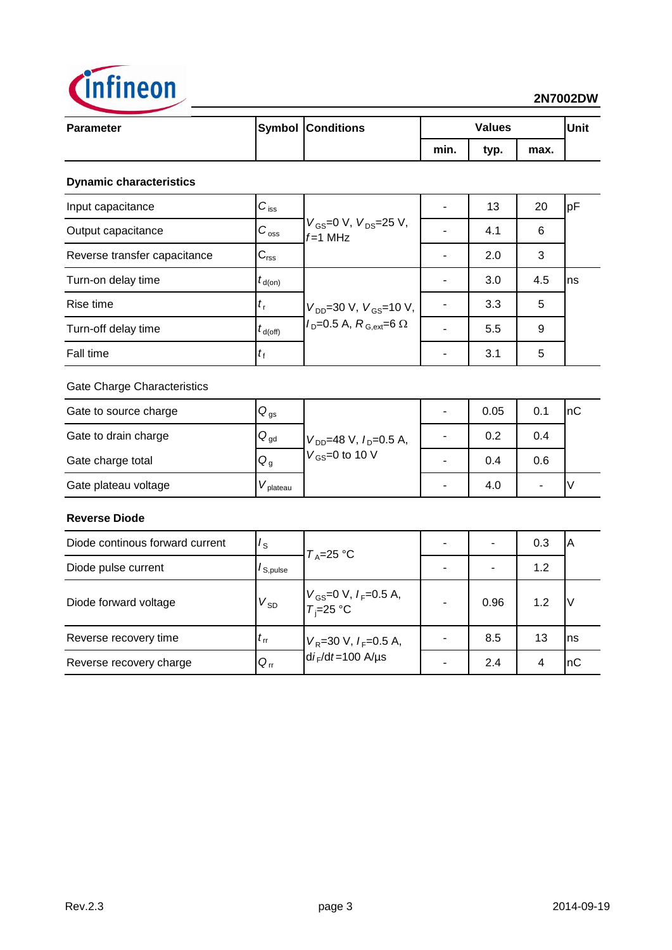

## **2N7002DW**

| <b>Parameter</b> | <b>Symbol Conditions</b> | <b>Values</b> |      |      | <b>Unit</b> |
|------------------|--------------------------|---------------|------|------|-------------|
|                  |                          | min.          | typ. | max. |             |
|                  |                          |               |      |      |             |

## **Dynamic characteristics**

| Input capacitance            | $C_{\text{iss}}$          | $V_{GS}$ =0 V, $V_{DS}$ =25 V,<br>$f=1$ MHz                                                                        | 13  | 20  | pF  |
|------------------------------|---------------------------|--------------------------------------------------------------------------------------------------------------------|-----|-----|-----|
| Output capacitance           | $C_{\rm{oss}}$            |                                                                                                                    | 4.1 | 6   |     |
| Reverse transfer capacitance | $C_{\text{rss}}$          |                                                                                                                    | 2.0 | 3   |     |
| Turn-on delay time           | $t_{\text{d}(on)}$        |                                                                                                                    | 3.0 | 4.5 | Ins |
| Rise time                    | $\mathbf{r}_{\mathsf{r}}$ | $V_{DD} = 30 \text{ V}$ , $V_{GS} = 10 \text{ V}$ ,<br>$I_{\text{D}} = 0.5 \text{ A}, R_{\text{G,ext}} = 6 \Omega$ | 3.3 | 5   |     |
| Turn-off delay time          | $t_{\text{d(off)}}$       |                                                                                                                    | 5.5 | 9   |     |
| Fall time                    | $\iota_{\mathsf{f}}$      |                                                                                                                    | 3.1 | 5   |     |

## Gate Charge Characteristics

| Gate to source charge | $\mathsf{Q}_{\mathsf{gs}}$ |                               |   | 0.05 | 0.1 | 'nС |
|-----------------------|----------------------------|-------------------------------|---|------|-----|-----|
| Gate to drain charge  | $Q_{gd}$                   | $V_{DD}$ =48 V, $I_D$ =0.5 A, |   | 0.2  | 0.4 |     |
| Gate charge total     | $Q_g$                      | $V_{GS}$ =0 to 10 V           | ۰ | 0.4  | 0.6 |     |
| Gate plateau voltage  | plateau                    |                               |   | 4.0  |     |     |

## **Reverse Diode**

| Diode continous forward current | $I_{\rm S}$    | $T_A=25 \text{ °C}$                          |                          | 0.3 | IΑ  |
|---------------------------------|----------------|----------------------------------------------|--------------------------|-----|-----|
| Diode pulse current             | $I_{S, pulse}$ |                                              | $\overline{\phantom{0}}$ | 1.2 |     |
| Diode forward voltage           | $V_{SD}$       | $V_{GS}$ =0 V, $I_F$ =0.5 A,<br>$T_i$ =25 °C | 0.96                     | 1.2 | ιv  |
| Reverse recovery time           | $t_{\rm rr}$   | $V_R$ =30 V, $I_F$ =0.5 A,                   | 8.5                      | 13  | Ins |
| Reverse recovery charge         | $Q_{rr}$       | $di_F/dt = 100$ A/µs                         | 2.4                      |     | nC  |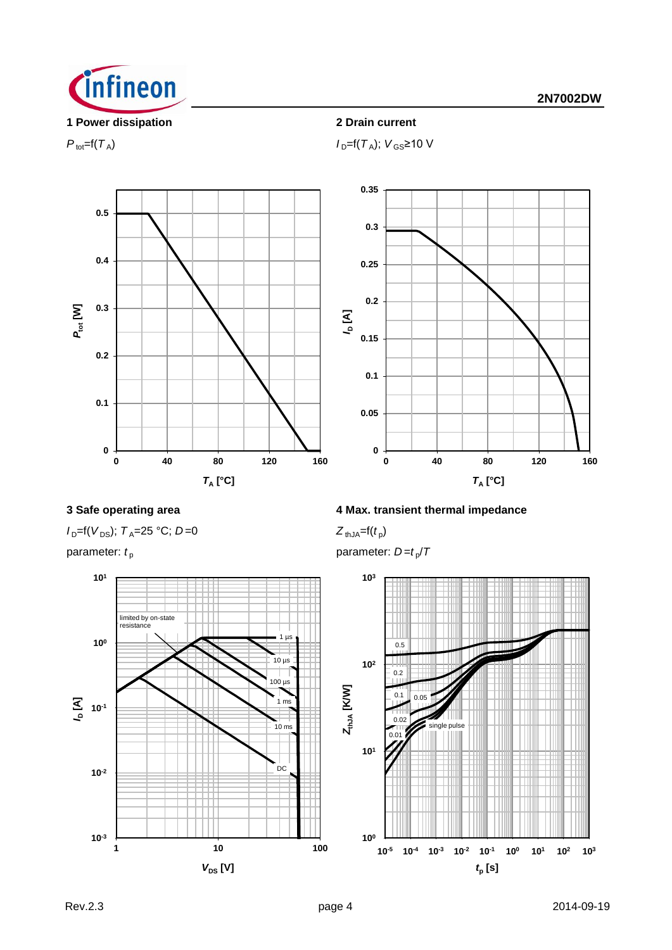

## **1 Power dissipation 2 Drain current**

 $P_{\text{tot}}=f(T_A); V_{\text{GS}}\geq 10 \text{ V}$ 



 $I_D=$ f( $V_{DS}$ );  $T_A=$ 25 °C; *D*=0



## **3 Safe operating area 4 Max. transient thermal impedance**

 $Z_{thJA} = f(t_p)$ 

parameter:  $t_{\rm p}$  **parameter:** *D=t<sub>p</sub>*/*T* 

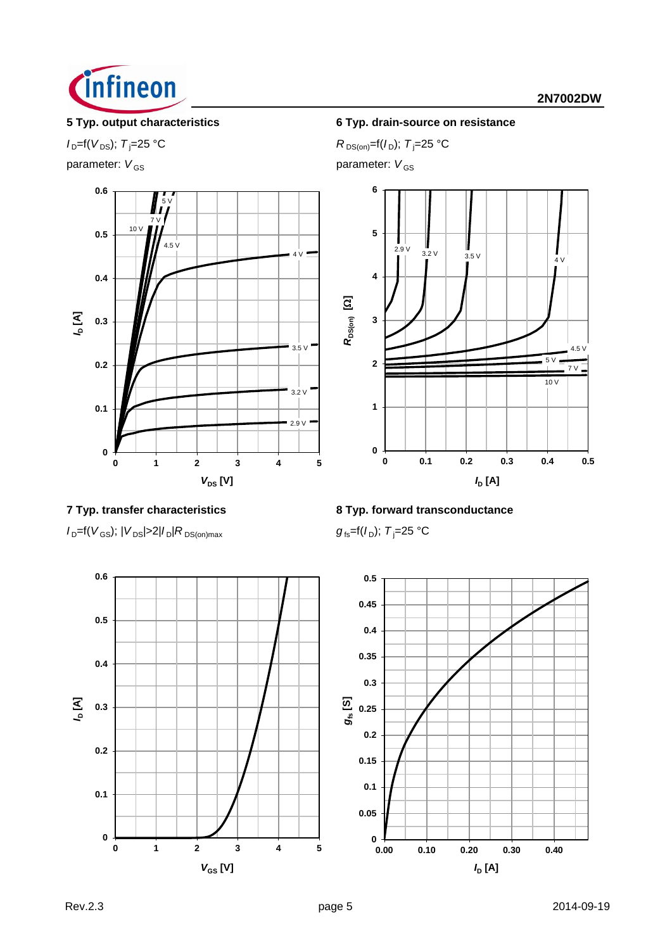

parameter:  $V_{GS}$  parameter:  $V_{GS}$ 



## **5 Typ. output characteristics 6 Typ. drain-source on resistance**

 $I_{D} = f(V_{DS})$ ; *T*<sub>j</sub>=25 °C *R* DS(on)=f(*I*<sub>D</sub>); *T*<sub>j</sub>=25 °C

![](_page_4_Figure_8.jpeg)

**7 Typ. transfer characteristics 8 Typ. forward transconductance**

 $I_{D}$ =f(*V*<sub>GS</sub>); |*V*<sub>DS</sub>|>2|*I*<sub>D</sub>|*R*<sub>DS(on)max *g*<sub>fs</sub>=f(*I*<sub>D</sub>); *T*<sub>j</sub>=25 °C</sub>

![](_page_4_Figure_11.jpeg)

![](_page_4_Figure_13.jpeg)

![](_page_4_Figure_14.jpeg)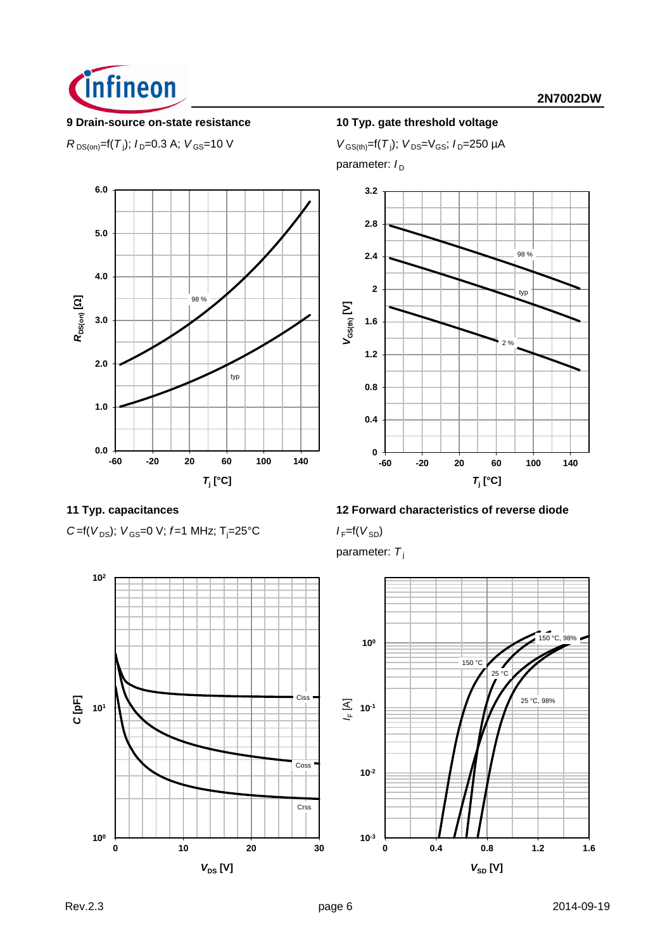![](_page_5_Picture_0.jpeg)

### **9 Drain-source on-state resistance 10 Typ. gate threshold voltage**

 $R_{DS(on)} = f(T_j); I_D = 0.3 \text{ A}; V_{GS} = 10 \text{ V}$  *V*  $_{GS(th)} = f(T_j)$ 

 $V_{GS(th)}=f(T_i); V_{DS}=V_{GS}; I_D=250 \mu A$ 

parameter:  $I_D$ 

![](_page_5_Figure_7.jpeg)

![](_page_5_Figure_8.jpeg)

![](_page_5_Figure_10.jpeg)

## **11 Typ. capacitances 12 Forward characteristics of reverse diode**

parameter: T<sub>i</sub>

![](_page_5_Figure_14.jpeg)

![](_page_5_Figure_15.jpeg)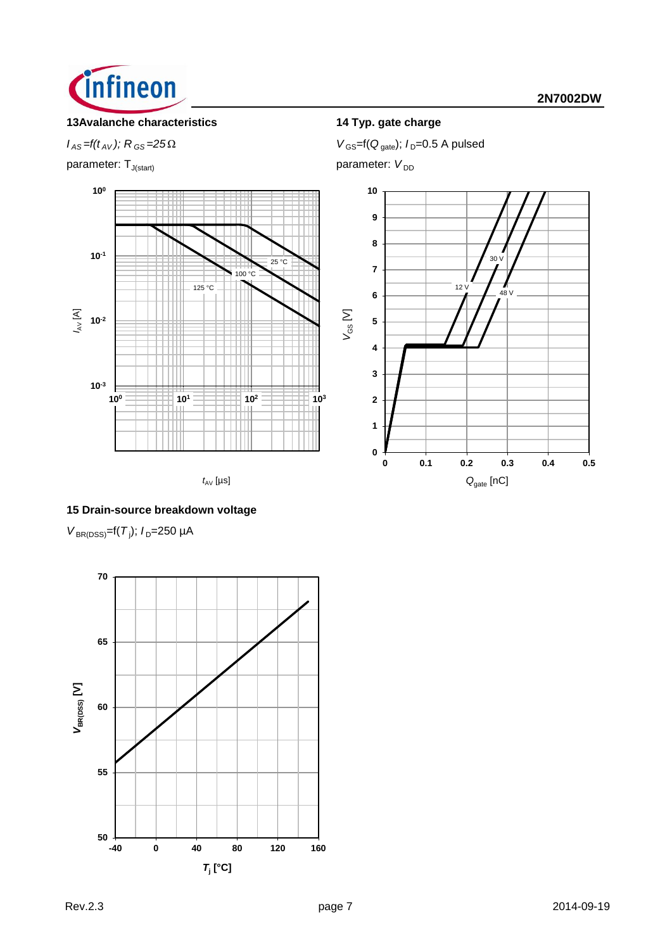![](_page_6_Picture_0.jpeg)

## **13Avalanche characteristics 14 Typ. gate charge**

parameter: T<sub>J(start)</sub> parameter: *V*<sub>DD</sub>

![](_page_6_Figure_5.jpeg)

 $t_{AV}$  [µs]

*I*<sub>AS</sub> = *f*(*t*<sub>AV</sub>); *R*<sub>GS</sub> = 25Ω *V*<sub>GS</sub> = f(*Q*<sub>gate</sub>); *I*<sub>D</sub>=0.5 A pulsed

![](_page_6_Figure_9.jpeg)

## **15 Drain-source breakdown voltage**

 $V_{\text{BR(DSS)}} = f(T_j)$ ;  $I_D = 250 \mu A$ 

![](_page_6_Figure_12.jpeg)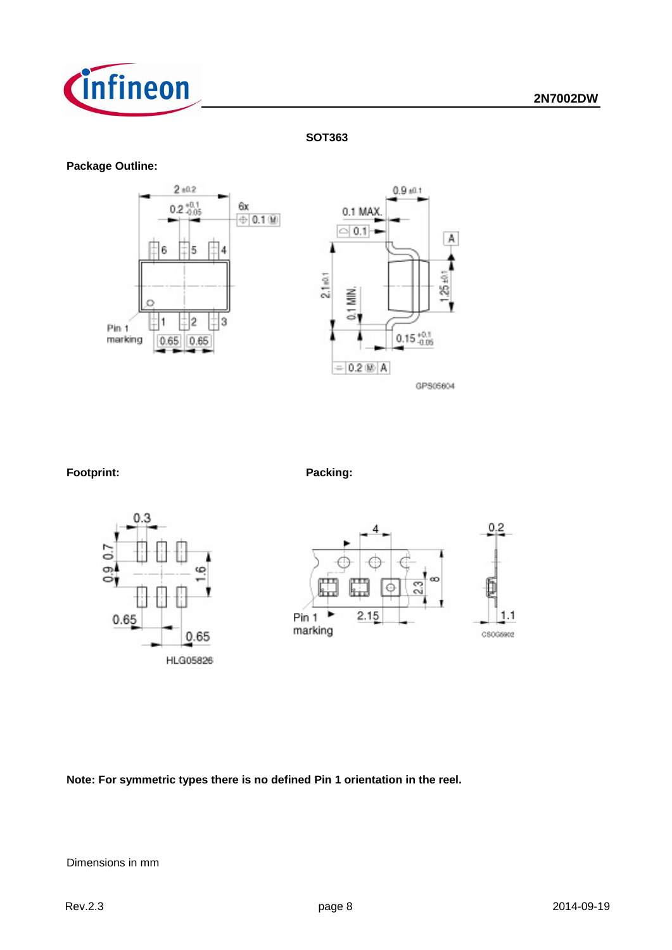![](_page_7_Picture_0.jpeg)

**SOT363**

## **Package Outline:**

![](_page_7_Figure_4.jpeg)

![](_page_7_Figure_6.jpeg)

![](_page_7_Figure_7.jpeg)

![](_page_7_Figure_8.jpeg)

A

**Note: For symmetric types there is no defined Pin 1 orientation in the reel.**

Dimensions in mm